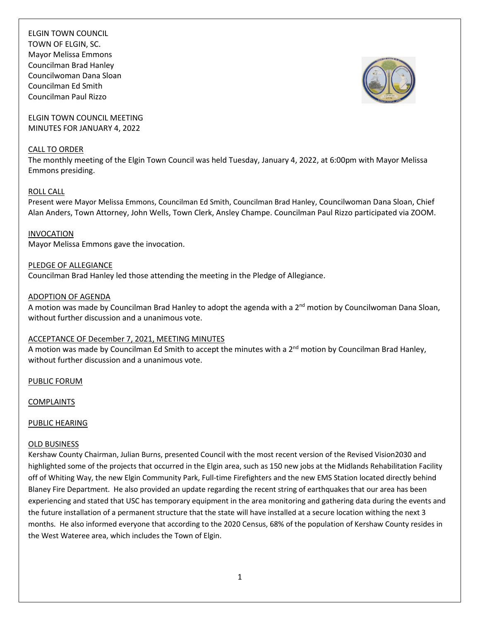ELGIN TOWN COUNCIL TOWN OF ELGIN, SC. Mayor Melissa Emmons Councilman Brad Hanley Councilwoman Dana Sloan Councilman Ed Smith Councilman Paul Rizzo

ELGIN TOWN COUNCIL MEETING MINUTES FOR JANUARY 4, 2022

#### CALL TO ORDER

The monthly meeting of the Elgin Town Council was held Tuesday, January 4, 2022, at 6:00pm with Mayor Melissa Emmons presiding.

### ROLL CALL

Present were Mayor Melissa Emmons, Councilman Ed Smith, Councilman Brad Hanley, Councilwoman Dana Sloan, Chief Alan Anders, Town Attorney, John Wells, Town Clerk, Ansley Champe. Councilman Paul Rizzo participated via ZOOM.

### INVOCATION

Mayor Melissa Emmons gave the invocation.

## PLEDGE OF ALLEGIANCE

Councilman Brad Hanley led those attending the meeting in the Pledge of Allegiance.

### ADOPTION OF AGENDA

A motion was made by Councilman Brad Hanley to adopt the agenda with a 2<sup>nd</sup> motion by Councilwoman Dana Sloan, without further discussion and a unanimous vote.

## ACCEPTANCE OF December 7, 2021, MEETING MINUTES

A motion was made by Councilman Ed Smith to accept the minutes with a 2<sup>nd</sup> motion by Councilman Brad Hanley, without further discussion and a unanimous vote.

PUBLIC FORUM

COMPLAINTS

#### PUBLIC HEARING

#### OLD BUSINESS

Kershaw County Chairman, Julian Burns, presented Council with the most recent version of the Revised Vision2030 and highlighted some of the projects that occurred in the Elgin area, such as 150 new jobs at the Midlands Rehabilitation Facility off of Whiting Way, the new Elgin Community Park, Full-time Firefighters and the new EMS Station located directly behind Blaney Fire Department. He also provided an update regarding the recent string of earthquakes that our area has been experiencing and stated that USC has temporary equipment in the area monitoring and gathering data during the events and the future installation of a permanent structure that the state will have installed at a secure location withing the next 3 months. He also informed everyone that according to the 2020 Census, 68% of the population of Kershaw County resides in the West Wateree area, which includes the Town of Elgin.